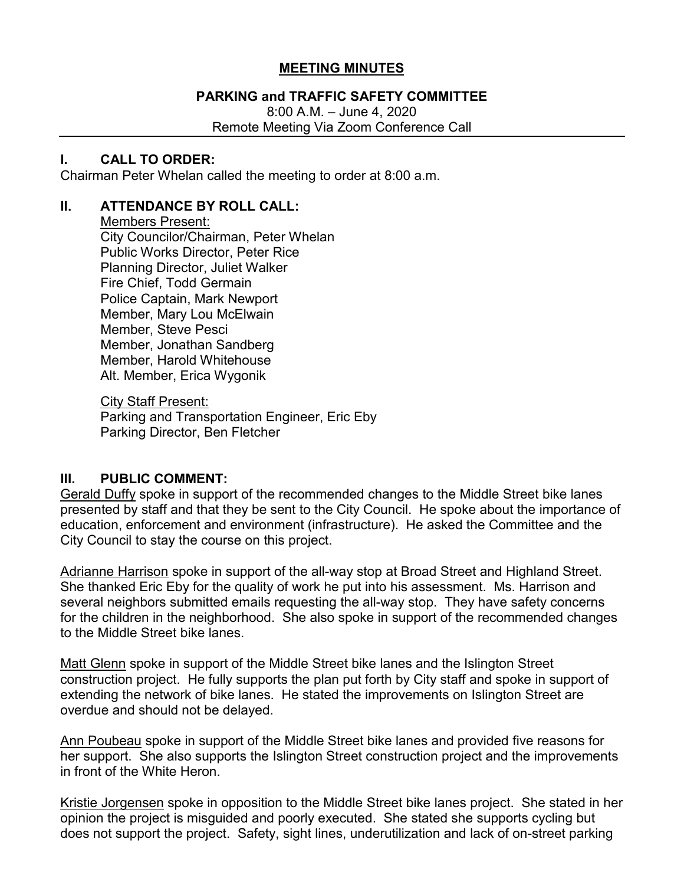## **MEETING MINUTES**

## **PARKING and TRAFFIC SAFETY COMMITTEE**

8:00 A.M. – June 4, 2020 Remote Meeting Via Zoom Conference Call

### **I. CALL TO ORDER:**

Chairman Peter Whelan called the meeting to order at 8:00 a.m.

## **II. ATTENDANCE BY ROLL CALL:**

Members Present:

City Councilor/Chairman, Peter Whelan Public Works Director, Peter Rice Planning Director, Juliet Walker Fire Chief, Todd Germain Police Captain, Mark Newport Member, Mary Lou McElwain Member, Steve Pesci Member, Jonathan Sandberg Member, Harold Whitehouse Alt. Member, Erica Wygonik

City Staff Present:

Parking and Transportation Engineer, Eric Eby Parking Director, Ben Fletcher

## **III. PUBLIC COMMENT:**

Gerald Duffy spoke in support of the recommended changes to the Middle Street bike lanes presented by staff and that they be sent to the City Council. He spoke about the importance of education, enforcement and environment (infrastructure). He asked the Committee and the City Council to stay the course on this project.

Adrianne Harrison spoke in support of the all-way stop at Broad Street and Highland Street. She thanked Eric Eby for the quality of work he put into his assessment. Ms. Harrison and several neighbors submitted emails requesting the all-way stop. They have safety concerns for the children in the neighborhood. She also spoke in support of the recommended changes to the Middle Street bike lanes.

Matt Glenn spoke in support of the Middle Street bike lanes and the Islington Street construction project. He fully supports the plan put forth by City staff and spoke in support of extending the network of bike lanes. He stated the improvements on Islington Street are overdue and should not be delayed.

Ann Poubeau spoke in support of the Middle Street bike lanes and provided five reasons for her support. She also supports the Islington Street construction project and the improvements in front of the White Heron.

Kristie Jorgensen spoke in opposition to the Middle Street bike lanes project. She stated in her opinion the project is misguided and poorly executed. She stated she supports cycling but does not support the project. Safety, sight lines, underutilization and lack of on-street parking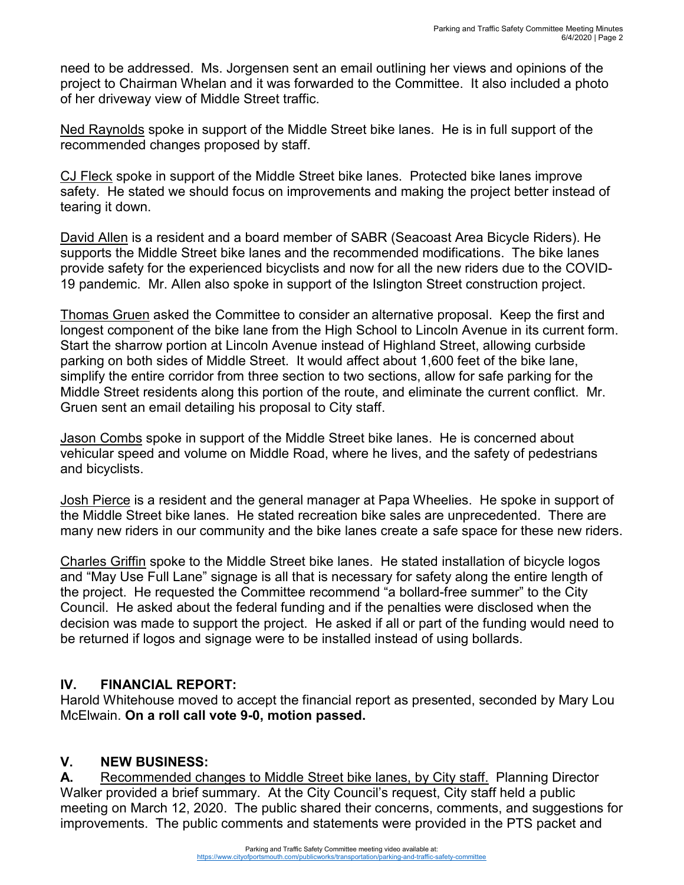need to be addressed. Ms. Jorgensen sent an email outlining her views and opinions of the project to Chairman Whelan and it was forwarded to the Committee. It also included a photo of her driveway view of Middle Street traffic.

Ned Raynolds spoke in support of the Middle Street bike lanes. He is in full support of the recommended changes proposed by staff.

CJ Fleck spoke in support of the Middle Street bike lanes. Protected bike lanes improve safety. He stated we should focus on improvements and making the project better instead of tearing it down.

David Allen is a resident and a board member of SABR (Seacoast Area Bicycle Riders). He supports the Middle Street bike lanes and the recommended modifications. The bike lanes provide safety for the experienced bicyclists and now for all the new riders due to the COVID-19 pandemic. Mr. Allen also spoke in support of the Islington Street construction project.

Thomas Gruen asked the Committee to consider an alternative proposal. Keep the first and longest component of the bike lane from the High School to Lincoln Avenue in its current form. Start the sharrow portion at Lincoln Avenue instead of Highland Street, allowing curbside parking on both sides of Middle Street. It would affect about 1,600 feet of the bike lane, simplify the entire corridor from three section to two sections, allow for safe parking for the Middle Street residents along this portion of the route, and eliminate the current conflict. Mr. Gruen sent an email detailing his proposal to City staff.

Jason Combs spoke in support of the Middle Street bike lanes. He is concerned about vehicular speed and volume on Middle Road, where he lives, and the safety of pedestrians and bicyclists.

Josh Pierce is a resident and the general manager at Papa Wheelies. He spoke in support of the Middle Street bike lanes. He stated recreation bike sales are unprecedented. There are many new riders in our community and the bike lanes create a safe space for these new riders.

Charles Griffin spoke to the Middle Street bike lanes. He stated installation of bicycle logos and "May Use Full Lane" signage is all that is necessary for safety along the entire length of the project. He requested the Committee recommend "a bollard-free summer" to the City Council. He asked about the federal funding and if the penalties were disclosed when the decision was made to support the project. He asked if all or part of the funding would need to be returned if logos and signage were to be installed instead of using bollards.

# **IV. FINANCIAL REPORT:**

Harold Whitehouse moved to accept the financial report as presented, seconded by Mary Lou McElwain. **On a roll call vote 9-0, motion passed.**

# **V. NEW BUSINESS:**

**A.** Recommended changes to Middle Street bike lanes, by City staff. Planning Director Walker provided a brief summary. At the City Council's request, City staff held a public meeting on March 12, 2020. The public shared their concerns, comments, and suggestions for improvements. The public comments and statements were provided in the PTS packet and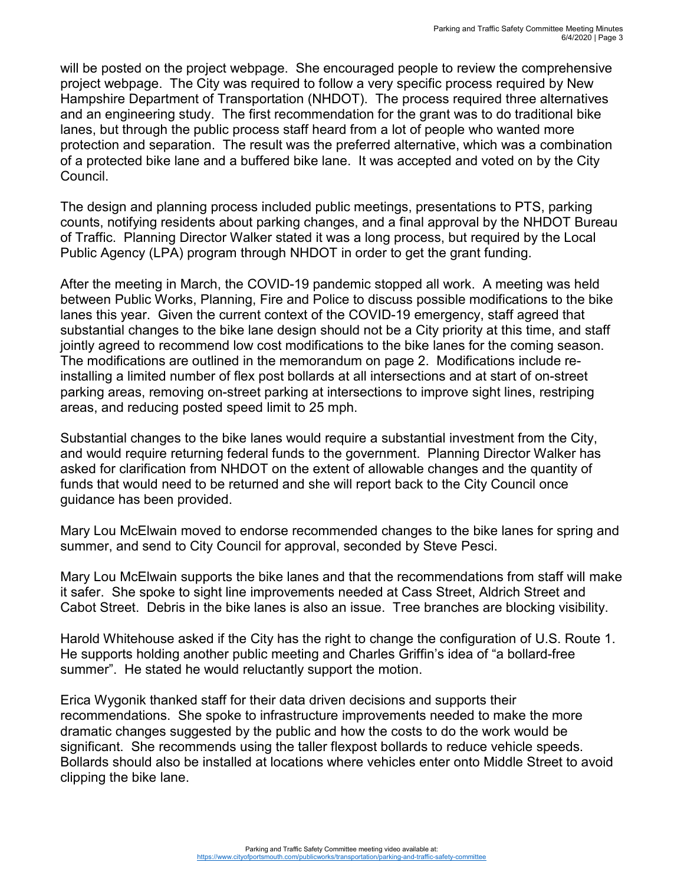will be posted on the project webpage. She encouraged people to review the comprehensive project webpage. The City was required to follow a very specific process required by New Hampshire Department of Transportation (NHDOT). The process required three alternatives and an engineering study. The first recommendation for the grant was to do traditional bike lanes, but through the public process staff heard from a lot of people who wanted more protection and separation. The result was the preferred alternative, which was a combination of a protected bike lane and a buffered bike lane. It was accepted and voted on by the City Council.

The design and planning process included public meetings, presentations to PTS, parking counts, notifying residents about parking changes, and a final approval by the NHDOT Bureau of Traffic. Planning Director Walker stated it was a long process, but required by the Local Public Agency (LPA) program through NHDOT in order to get the grant funding.

After the meeting in March, the COVID-19 pandemic stopped all work. A meeting was held between Public Works, Planning, Fire and Police to discuss possible modifications to the bike lanes this year. Given the current context of the COVID-19 emergency, staff agreed that substantial changes to the bike lane design should not be a City priority at this time, and staff jointly agreed to recommend low cost modifications to the bike lanes for the coming season. The modifications are outlined in the memorandum on page 2. Modifications include reinstalling a limited number of flex post bollards at all intersections and at start of on-street parking areas, removing on-street parking at intersections to improve sight lines, restriping areas, and reducing posted speed limit to 25 mph.

Substantial changes to the bike lanes would require a substantial investment from the City, and would require returning federal funds to the government. Planning Director Walker has asked for clarification from NHDOT on the extent of allowable changes and the quantity of funds that would need to be returned and she will report back to the City Council once guidance has been provided.

Mary Lou McElwain moved to endorse recommended changes to the bike lanes for spring and summer, and send to City Council for approval, seconded by Steve Pesci.

Mary Lou McElwain supports the bike lanes and that the recommendations from staff will make it safer. She spoke to sight line improvements needed at Cass Street, Aldrich Street and Cabot Street. Debris in the bike lanes is also an issue. Tree branches are blocking visibility.

Harold Whitehouse asked if the City has the right to change the configuration of U.S. Route 1. He supports holding another public meeting and Charles Griffin's idea of "a bollard-free summer". He stated he would reluctantly support the motion.

Erica Wygonik thanked staff for their data driven decisions and supports their recommendations. She spoke to infrastructure improvements needed to make the more dramatic changes suggested by the public and how the costs to do the work would be significant. She recommends using the taller flexpost bollards to reduce vehicle speeds. Bollards should also be installed at locations where vehicles enter onto Middle Street to avoid clipping the bike lane.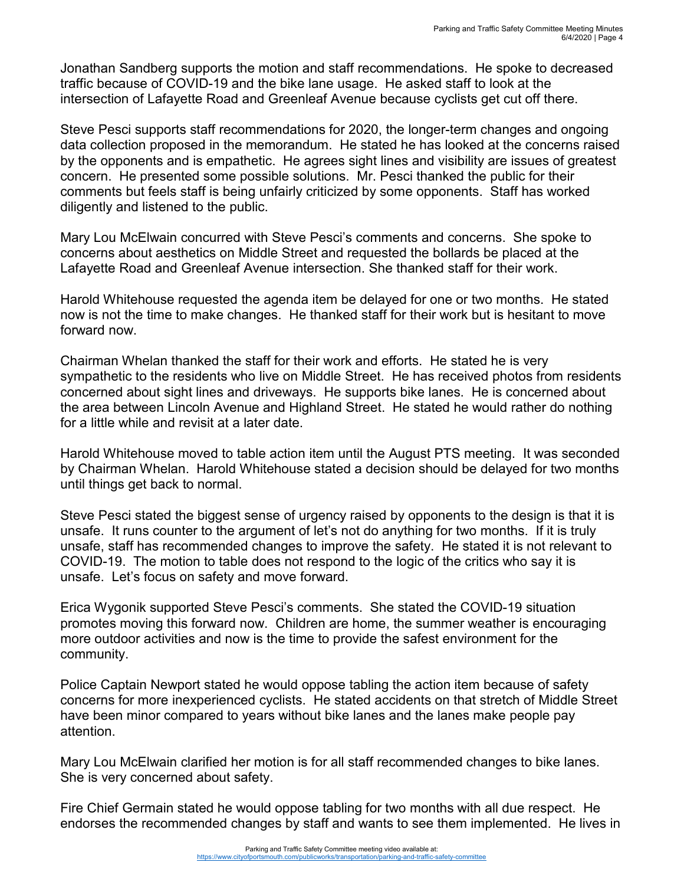Jonathan Sandberg supports the motion and staff recommendations. He spoke to decreased traffic because of COVID-19 and the bike lane usage. He asked staff to look at the intersection of Lafayette Road and Greenleaf Avenue because cyclists get cut off there.

Steve Pesci supports staff recommendations for 2020, the longer-term changes and ongoing data collection proposed in the memorandum. He stated he has looked at the concerns raised by the opponents and is empathetic. He agrees sight lines and visibility are issues of greatest concern. He presented some possible solutions. Mr. Pesci thanked the public for their comments but feels staff is being unfairly criticized by some opponents. Staff has worked diligently and listened to the public.

Mary Lou McElwain concurred with Steve Pesci's comments and concerns. She spoke to concerns about aesthetics on Middle Street and requested the bollards be placed at the Lafayette Road and Greenleaf Avenue intersection. She thanked staff for their work.

Harold Whitehouse requested the agenda item be delayed for one or two months. He stated now is not the time to make changes. He thanked staff for their work but is hesitant to move forward now.

Chairman Whelan thanked the staff for their work and efforts. He stated he is very sympathetic to the residents who live on Middle Street. He has received photos from residents concerned about sight lines and driveways. He supports bike lanes. He is concerned about the area between Lincoln Avenue and Highland Street. He stated he would rather do nothing for a little while and revisit at a later date.

Harold Whitehouse moved to table action item until the August PTS meeting. It was seconded by Chairman Whelan. Harold Whitehouse stated a decision should be delayed for two months until things get back to normal.

Steve Pesci stated the biggest sense of urgency raised by opponents to the design is that it is unsafe. It runs counter to the argument of let's not do anything for two months. If it is truly unsafe, staff has recommended changes to improve the safety. He stated it is not relevant to COVID-19. The motion to table does not respond to the logic of the critics who say it is unsafe. Let's focus on safety and move forward.

Erica Wygonik supported Steve Pesci's comments. She stated the COVID-19 situation promotes moving this forward now. Children are home, the summer weather is encouraging more outdoor activities and now is the time to provide the safest environment for the community.

Police Captain Newport stated he would oppose tabling the action item because of safety concerns for more inexperienced cyclists. He stated accidents on that stretch of Middle Street have been minor compared to years without bike lanes and the lanes make people pay attention.

Mary Lou McElwain clarified her motion is for all staff recommended changes to bike lanes. She is very concerned about safety.

Fire Chief Germain stated he would oppose tabling for two months with all due respect. He endorses the recommended changes by staff and wants to see them implemented. He lives in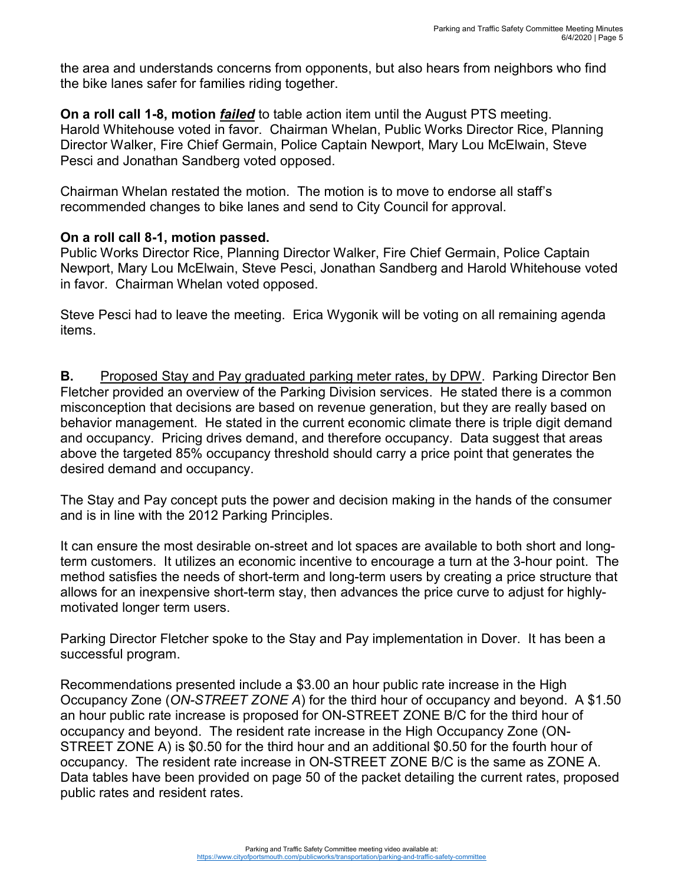the area and understands concerns from opponents, but also hears from neighbors who find the bike lanes safer for families riding together.

**On a roll call 1-8, motion** *failed* to table action item until the August PTS meeting. Harold Whitehouse voted in favor. Chairman Whelan, Public Works Director Rice, Planning Director Walker, Fire Chief Germain, Police Captain Newport, Mary Lou McElwain, Steve Pesci and Jonathan Sandberg voted opposed.

Chairman Whelan restated the motion. The motion is to move to endorse all staff's recommended changes to bike lanes and send to City Council for approval.

## **On a roll call 8-1, motion passed.**

Public Works Director Rice, Planning Director Walker, Fire Chief Germain, Police Captain Newport, Mary Lou McElwain, Steve Pesci, Jonathan Sandberg and Harold Whitehouse voted in favor. Chairman Whelan voted opposed.

Steve Pesci had to leave the meeting. Erica Wygonik will be voting on all remaining agenda items.

**B.** Proposed Stay and Pay graduated parking meter rates, by DPW. Parking Director Ben Fletcher provided an overview of the Parking Division services. He stated there is a common misconception that decisions are based on revenue generation, but they are really based on behavior management. He stated in the current economic climate there is triple digit demand and occupancy. Pricing drives demand, and therefore occupancy. Data suggest that areas above the targeted 85% occupancy threshold should carry a price point that generates the desired demand and occupancy.

The Stay and Pay concept puts the power and decision making in the hands of the consumer and is in line with the 2012 Parking Principles.

It can ensure the most desirable on-street and lot spaces are available to both short and longterm customers. It utilizes an economic incentive to encourage a turn at the 3-hour point. The method satisfies the needs of short-term and long-term users by creating a price structure that allows for an inexpensive short-term stay, then advances the price curve to adjust for highlymotivated longer term users.

Parking Director Fletcher spoke to the Stay and Pay implementation in Dover. It has been a successful program.

Recommendations presented include a \$3.00 an hour public rate increase in the High Occupancy Zone (*ON-STREET ZONE A*) for the third hour of occupancy and beyond. A \$1.50 an hour public rate increase is proposed for ON-STREET ZONE B/C for the third hour of occupancy and beyond. The resident rate increase in the High Occupancy Zone (ON-STREET ZONE A) is \$0.50 for the third hour and an additional \$0.50 for the fourth hour of occupancy. The resident rate increase in ON-STREET ZONE B/C is the same as ZONE A. Data tables have been provided on page 50 of the packet detailing the current rates, proposed public rates and resident rates.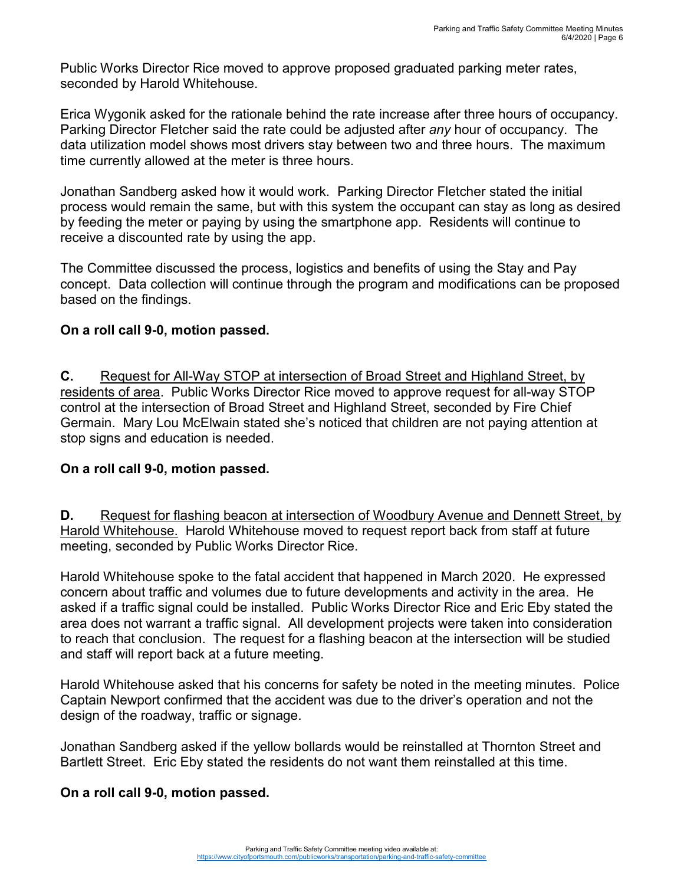Public Works Director Rice moved to approve proposed graduated parking meter rates, seconded by Harold Whitehouse.

Erica Wygonik asked for the rationale behind the rate increase after three hours of occupancy. Parking Director Fletcher said the rate could be adjusted after *any* hour of occupancy. The data utilization model shows most drivers stay between two and three hours. The maximum time currently allowed at the meter is three hours.

Jonathan Sandberg asked how it would work. Parking Director Fletcher stated the initial process would remain the same, but with this system the occupant can stay as long as desired by feeding the meter or paying by using the smartphone app. Residents will continue to receive a discounted rate by using the app.

The Committee discussed the process, logistics and benefits of using the Stay and Pay concept. Data collection will continue through the program and modifications can be proposed based on the findings.

## **On a roll call 9-0, motion passed.**

**C.** Request for All-Way STOP at intersection of Broad Street and Highland Street, by residents of area. Public Works Director Rice moved to approve request for all-way STOP control at the intersection of Broad Street and Highland Street, seconded by Fire Chief Germain. Mary Lou McElwain stated she's noticed that children are not paying attention at stop signs and education is needed.

### **On a roll call 9-0, motion passed.**

**D.** Request for flashing beacon at intersection of Woodbury Avenue and Dennett Street, by Harold Whitehouse. Harold Whitehouse moved to request report back from staff at future meeting, seconded by Public Works Director Rice.

Harold Whitehouse spoke to the fatal accident that happened in March 2020. He expressed concern about traffic and volumes due to future developments and activity in the area. He asked if a traffic signal could be installed. Public Works Director Rice and Eric Eby stated the area does not warrant a traffic signal. All development projects were taken into consideration to reach that conclusion. The request for a flashing beacon at the intersection will be studied and staff will report back at a future meeting.

Harold Whitehouse asked that his concerns for safety be noted in the meeting minutes. Police Captain Newport confirmed that the accident was due to the driver's operation and not the design of the roadway, traffic or signage.

Jonathan Sandberg asked if the yellow bollards would be reinstalled at Thornton Street and Bartlett Street. Eric Eby stated the residents do not want them reinstalled at this time.

### **On a roll call 9-0, motion passed.**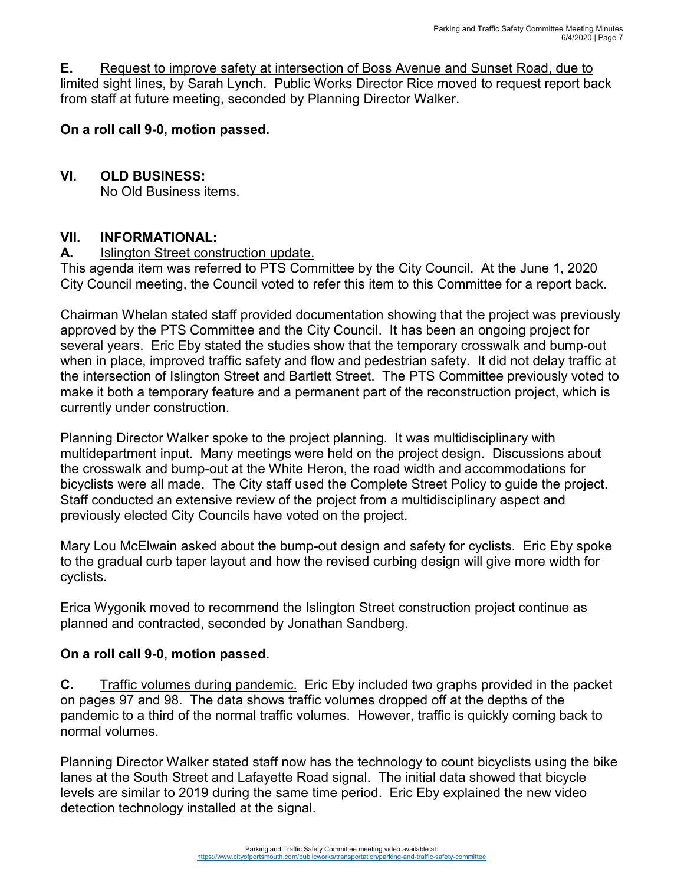**E.** Request to improve safety at intersection of Boss Avenue and Sunset Road, due to limited sight lines, by Sarah Lynch. Public Works Director Rice moved to request report back from staff at future meeting, seconded by Planning Director Walker.

## **On a roll call 9-0, motion passed.**

## **VI. OLD BUSINESS:**

No Old Business items.

### **VII. INFORMATIONAL:**

**A.** Islington Street construction update.

This agenda item was referred to PTS Committee by the City Council. At the June 1, 2020 City Council meeting, the Council voted to refer this item to this Committee for a report back.

Chairman Whelan stated staff provided documentation showing that the project was previously approved by the PTS Committee and the City Council. It has been an ongoing project for several years. Eric Eby stated the studies show that the temporary crosswalk and bump-out when in place, improved traffic safety and flow and pedestrian safety. It did not delay traffic at the intersection of Islington Street and Bartlett Street. The PTS Committee previously voted to make it both a temporary feature and a permanent part of the reconstruction project, which is currently under construction.

Planning Director Walker spoke to the project planning. It was multidisciplinary with multidepartment input. Many meetings were held on the project design. Discussions about the crosswalk and bump-out at the White Heron, the road width and accommodations for bicyclists were all made. The City staff used the Complete Street Policy to guide the project. Staff conducted an extensive review of the project from a multidisciplinary aspect and previously elected City Councils have voted on the project.

Mary Lou McElwain asked about the bump-out design and safety for cyclists. Eric Eby spoke to the gradual curb taper layout and how the revised curbing design will give more width for cyclists.

Erica Wygonik moved to recommend the Islington Street construction project continue as planned and contracted, seconded by Jonathan Sandberg.

### **On a roll call 9-0, motion passed.**

**C.** Traffic volumes during pandemic. Eric Eby included two graphs provided in the packet on pages 97 and 98. The data shows traffic volumes dropped off at the depths of the pandemic to a third of the normal traffic volumes. However, traffic is quickly coming back to normal volumes.

Planning Director Walker stated staff now has the technology to count bicyclists using the bike lanes at the South Street and Lafayette Road signal. The initial data showed that bicycle levels are similar to 2019 during the same time period. Eric Eby explained the new video detection technology installed at the signal.